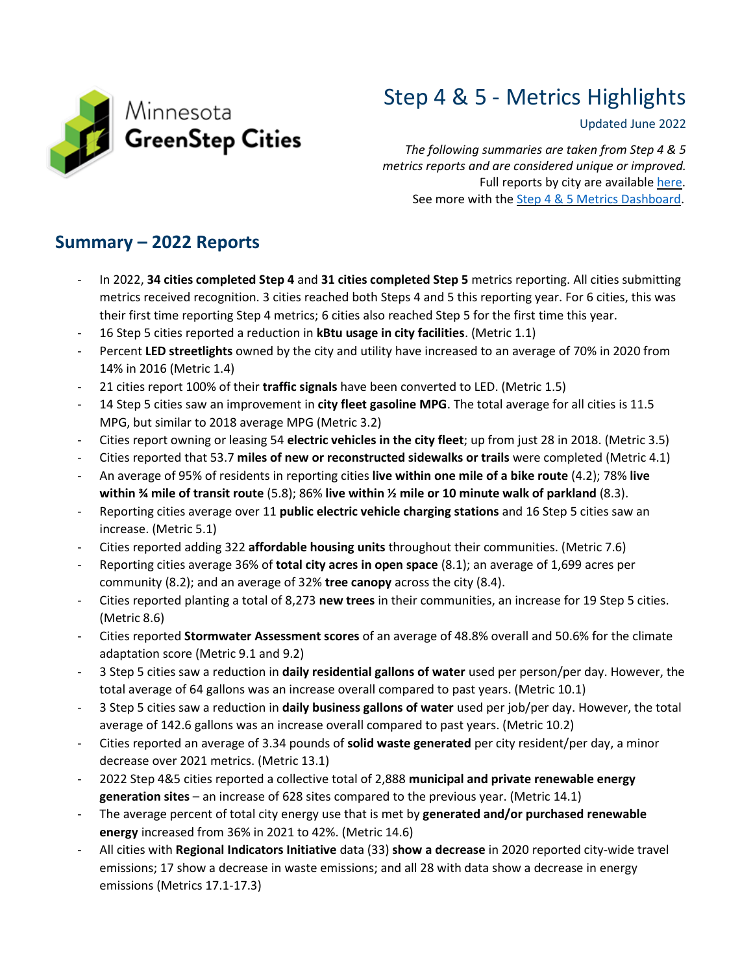

# Step 4 & 5 - Metrics Highlights

#### Updated June 2022

*The following summaries are taken from Step 4 & 5 metrics reports and are considered unique or improved.*  Full reports by city are available [here.](https://drive.google.com/drive/folders/15lxgaa0wCAIVr4I88rWsR6LZgoks6w6O?usp=sharing) See more with the [Step 4 & 5 Metrics Dashboard.](https://public.tableau.com/app/profile/mpca.data.services/viz/GreenStepCitiesMetrics-2015-2020/Overview)

# **Summary – 2022 Reports**

- In 2022, **34 cities completed Step 4** and **31 cities completed Step 5** metrics reporting. All cities submitting metrics received recognition. 3 cities reached both Steps 4 and 5 this reporting year. For 6 cities, this was their first time reporting Step 4 metrics; 6 cities also reached Step 5 for the first time this year.
- 16 Step 5 cities reported a reduction in **kBtu usage in city facilities**. (Metric 1.1)
- Percent **LED streetlights** owned by the city and utility have increased to an average of 70% in 2020 from 14% in 2016 (Metric 1.4)
- 21 cities report 100% of their **traffic signals** have been converted to LED. (Metric 1.5)
- 14 Step 5 cities saw an improvement in **city fleet gasoline MPG**. The total average for all cities is 11.5 MPG, but similar to 2018 average MPG (Metric 3.2)
- Cities report owning or leasing 54 **electric vehicles in the city fleet**; up from just 28 in 2018. (Metric 3.5)
- Cities reported that 53.7 **miles of new or reconstructed sidewalks or trails** were completed (Metric 4.1)
- An average of 95% of residents in reporting cities **live within one mile of a bike route** (4.2); 78% **live within ¾ mile of transit route** (5.8); 86% **live within ½ mile or 10 minute walk of parkland** (8.3).
- Reporting cities average over 11 **public electric vehicle charging stations** and 16 Step 5 cities saw an increase. (Metric 5.1)
- Cities reported adding 322 **affordable housing units** throughout their communities. (Metric 7.6)
- Reporting cities average 36% of **total city acres in open space** (8.1); an average of 1,699 acres per community (8.2); and an average of 32% **tree canopy** across the city (8.4).
- Cities reported planting a total of 8,273 **new trees** in their communities, an increase for 19 Step 5 cities. (Metric 8.6)
- Cities reported **Stormwater Assessment scores** of an average of 48.8% overall and 50.6% for the climate adaptation score (Metric 9.1 and 9.2)
- 3 Step 5 cities saw a reduction in **daily residential gallons of water** used per person/per day. However, the total average of 64 gallons was an increase overall compared to past years. (Metric 10.1)
- 3 Step 5 cities saw a reduction in **daily business gallons of water** used per job/per day. However, the total average of 142.6 gallons was an increase overall compared to past years. (Metric 10.2)
- Cities reported an average of 3.34 pounds of **solid waste generated** per city resident/per day, a minor decrease over 2021 metrics. (Metric 13.1)
- 2022 Step 4&5 cities reported a collective total of 2,888 **municipal and private renewable energy generation sites** – an increase of 628 sites compared to the previous year. (Metric 14.1)
- The average percent of total city energy use that is met by **generated and/or purchased renewable energy** increased from 36% in 2021 to 42%. (Metric 14.6)
- All cities with **Regional Indicators Initiative** data (33) **show a decrease** in 2020 reported city-wide travel emissions; 17 show a decrease in waste emissions; and all 28 with data show a decrease in energy emissions (Metrics 17.1-17.3)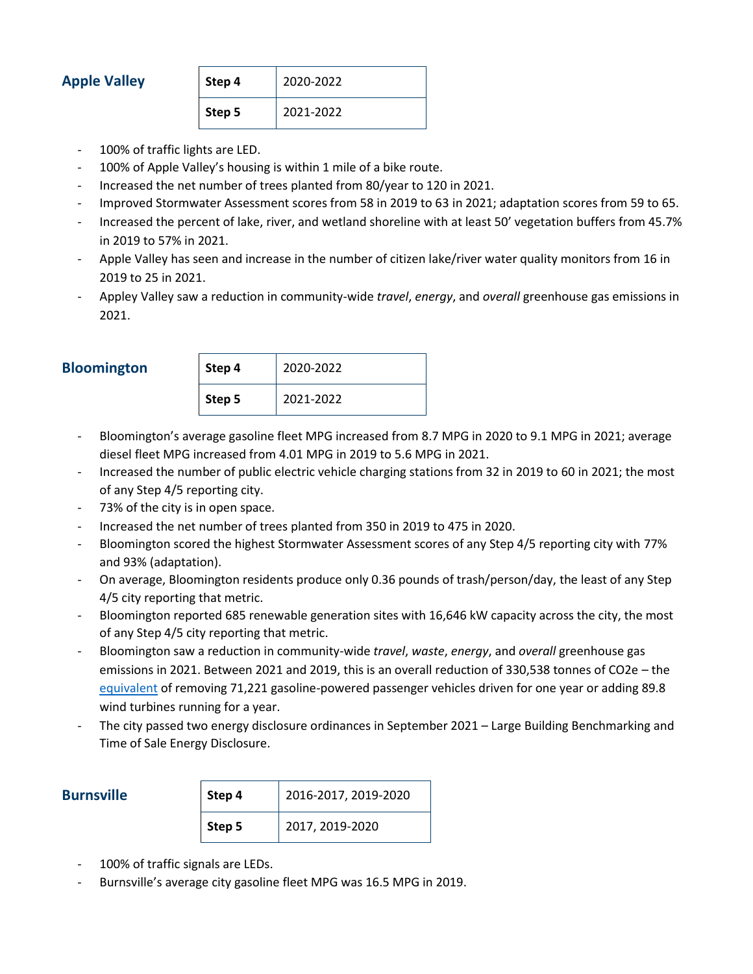## **Apple Valley**

| Step 4 | 2020-2022 |
|--------|-----------|
| Step 5 | 2021-2022 |

- 100% of traffic lights are LED.
- 100% of Apple Valley's housing is within 1 mile of a bike route.
- Increased the net number of trees planted from 80/year to 120 in 2021.
- Improved Stormwater Assessment scores from 58 in 2019 to 63 in 2021; adaptation scores from 59 to 65.
- Increased the percent of lake, river, and wetland shoreline with at least 50' vegetation buffers from 45.7% in 2019 to 57% in 2021.
- Apple Valley has seen and increase in the number of citizen lake/river water quality monitors from 16 in 2019 to 25 in 2021.
- Appley Valley saw a reduction in community-wide *travel*, *energy*, and *overall* greenhouse gas emissions in 2021.

| <b>Bloomington</b> |
|--------------------|
|                    |

| <b>Bloomington</b> | Step 4 | 2020-2022 |
|--------------------|--------|-----------|
|                    | Step 5 | 2021-2022 |

- Bloomington's average gasoline fleet MPG increased from 8.7 MPG in 2020 to 9.1 MPG in 2021; average diesel fleet MPG increased from 4.01 MPG in 2019 to 5.6 MPG in 2021.
- Increased the number of public electric vehicle charging stations from 32 in 2019 to 60 in 2021; the most of any Step 4/5 reporting city.
- 73% of the city is in open space.
- Increased the net number of trees planted from 350 in 2019 to 475 in 2020.
- Bloomington scored the highest Stormwater Assessment scores of any Step 4/5 reporting city with 77% and 93% (adaptation).
- On average, Bloomington residents produce only 0.36 pounds of trash/person/day, the least of any Step 4/5 city reporting that metric.
- Bloomington reported 685 renewable generation sites with 16,646 kW capacity across the city, the most of any Step 4/5 city reporting that metric.
- Bloomington saw a reduction in community-wide *travel*, *waste*, *energy*, and *overall* greenhouse gas emissions in 2021. Between 2021 and 2019, this is an overall reduction of 330,538 tonnes of CO2e – the [equivalent](https://www.epa.gov/energy/greenhouse-gas-equivalencies-calculator) of removing 71,221 gasoline-powered passenger vehicles driven for one year or adding 89.8 wind turbines running for a year.
- The city passed two energy disclosure ordinances in September 2021 Large Building Benchmarking and Time of Sale Energy Disclosure.

| <b>Burnsville</b> | Step 4 | 2016-2017, 2019-2020 |
|-------------------|--------|----------------------|
|                   | Step 5 | 2017, 2019-2020      |

- 100% of traffic signals are LEDs.
- Burnsville's average city gasoline fleet MPG was 16.5 MPG in 2019.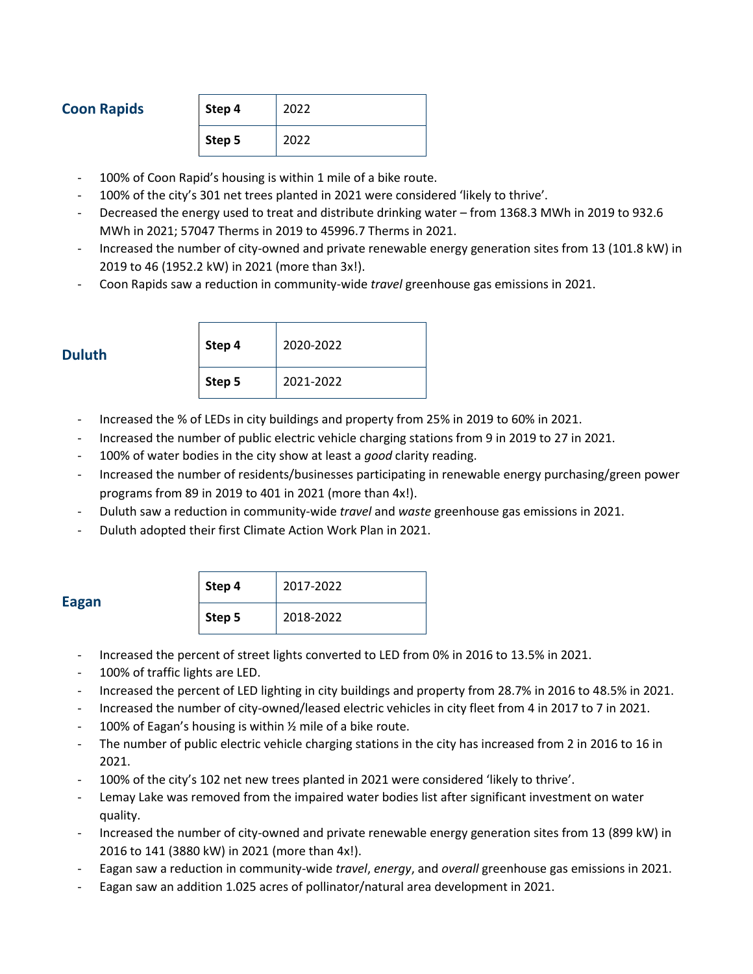### **Coon Rapids**

| Step 4 | 2022 |
|--------|------|
| Step 5 | 2022 |

- 100% of Coon Rapid's housing is within 1 mile of a bike route.
- 100% of the city's 301 net trees planted in 2021 were considered 'likely to thrive'.
- Decreased the energy used to treat and distribute drinking water from 1368.3 MWh in 2019 to 932.6 MWh in 2021; 57047 Therms in 2019 to 45996.7 Therms in 2021.
- Increased the number of city-owned and private renewable energy generation sites from 13 (101.8 kW) in 2019 to 46 (1952.2 kW) in 2021 (more than 3x!).
- Coon Rapids saw a reduction in community-wide *travel* greenhouse gas emissions in 2021.

| Duluth |
|--------|
|        |

| <b>Duluth</b> | Step 4 | 2020-2022 |
|---------------|--------|-----------|
|               | Step 5 | 2021-2022 |

- Increased the % of LEDs in city buildings and property from 25% in 2019 to 60% in 2021.
- Increased the number of public electric vehicle charging stations from 9 in 2019 to 27 in 2021.
- 100% of water bodies in the city show at least a *good* clarity reading.
- Increased the number of residents/businesses participating in renewable energy purchasing/green power programs from 89 in 2019 to 401 in 2021 (more than 4x!).
- Duluth saw a reduction in community-wide *travel* and *waste* greenhouse gas emissions in 2021.
- Duluth adopted their first Climate Action Work Plan in 2021.

| ×<br>. .<br>۰. |
|----------------|
|----------------|

| Step 4 | 2017-2022 |
|--------|-----------|
| Step 5 | 2018-2022 |

- Increased the percent of street lights converted to LED from 0% in 2016 to 13.5% in 2021.
- 100% of traffic lights are LED.
- Increased the percent of LED lighting in city buildings and property from 28.7% in 2016 to 48.5% in 2021.
- Increased the number of city-owned/leased electric vehicles in city fleet from 4 in 2017 to 7 in 2021.
- 100% of Eagan's housing is within  $\frac{1}{2}$  mile of a bike route.
- The number of public electric vehicle charging stations in the city has increased from 2 in 2016 to 16 in 2021.
- 100% of the city's 102 net new trees planted in 2021 were considered 'likely to thrive'.
- Lemay Lake was removed from the impaired water bodies list after significant investment on water quality.
- Increased the number of city-owned and private renewable energy generation sites from 13 (899 kW) in 2016 to 141 (3880 kW) in 2021 (more than 4x!).
- Eagan saw a reduction in community-wide *travel*, *energy*, and *overall* greenhouse gas emissions in 2021.
- Eagan saw an addition 1.025 acres of pollinator/natural area development in 2021.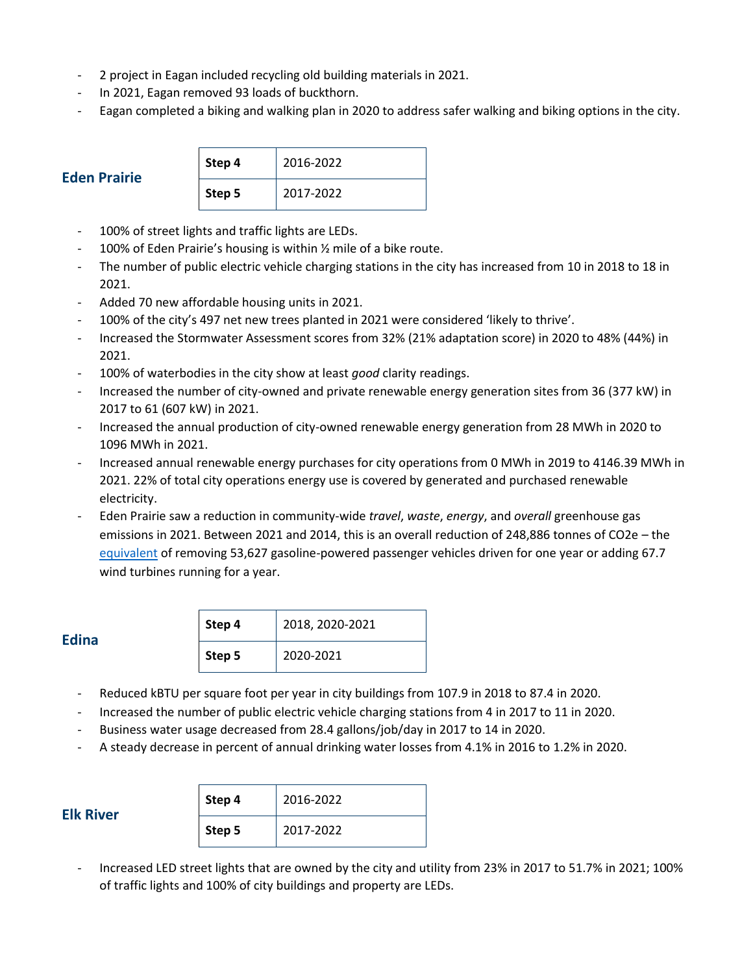- 2 project in Eagan included recycling old building materials in 2021.
- In 2021, Eagan removed 93 loads of buckthorn.
- Eagan completed a biking and walking plan in 2020 to address safer walking and biking options in the city.

| <b>Eden Prairie</b> |
|---------------------|

| Step 4 | 2016-2022 |
|--------|-----------|
| Step 5 | 2017-2022 |

- 100% of street lights and traffic lights are LEDs.
- 100% of Eden Prairie's housing is within ½ mile of a bike route.
- The number of public electric vehicle charging stations in the city has increased from 10 in 2018 to 18 in 2021.
- Added 70 new affordable housing units in 2021.
- 100% of the city's 497 net new trees planted in 2021 were considered 'likely to thrive'.
- Increased the Stormwater Assessment scores from 32% (21% adaptation score) in 2020 to 48% (44%) in 2021.
- 100% of waterbodies in the city show at least *good* clarity readings.
- Increased the number of city-owned and private renewable energy generation sites from 36 (377 kW) in 2017 to 61 (607 kW) in 2021.
- Increased the annual production of city-owned renewable energy generation from 28 MWh in 2020 to 1096 MWh in 2021.
- Increased annual renewable energy purchases for city operations from 0 MWh in 2019 to 4146.39 MWh in 2021. 22% of total city operations energy use is covered by generated and purchased renewable electricity.
- Eden Prairie saw a reduction in community-wide *travel*, *waste*, *energy*, and *overall* greenhouse gas emissions in 2021. Between 2021 and 2014, this is an overall reduction of 248,886 tonnes of CO2e – the [equivalent](https://www.epa.gov/energy/greenhouse-gas-equivalencies-calculator) of removing 53,627 gasoline-powered passenger vehicles driven for one year or adding 67.7 wind turbines running for a year.

#### **Edina**

| Step 4 | 2018, 2020-2021 |
|--------|-----------------|
| Step 5 | 2020-2021       |

- Reduced kBTU per square foot per year in city buildings from 107.9 in 2018 to 87.4 in 2020.
- Increased the number of public electric vehicle charging stations from 4 in 2017 to 11 in 2020.
- Business water usage decreased from 28.4 gallons/job/day in 2017 to 14 in 2020.
- A steady decrease in percent of annual drinking water losses from 4.1% in 2016 to 1.2% in 2020.

| Step 4 | 2016-2022 |
|--------|-----------|
| Step 5 | 2017-2022 |

- Increased LED street lights that are owned by the city and utility from 23% in 2017 to 51.7% in 2021; 100% of traffic lights and 100% of city buildings and property are LEDs.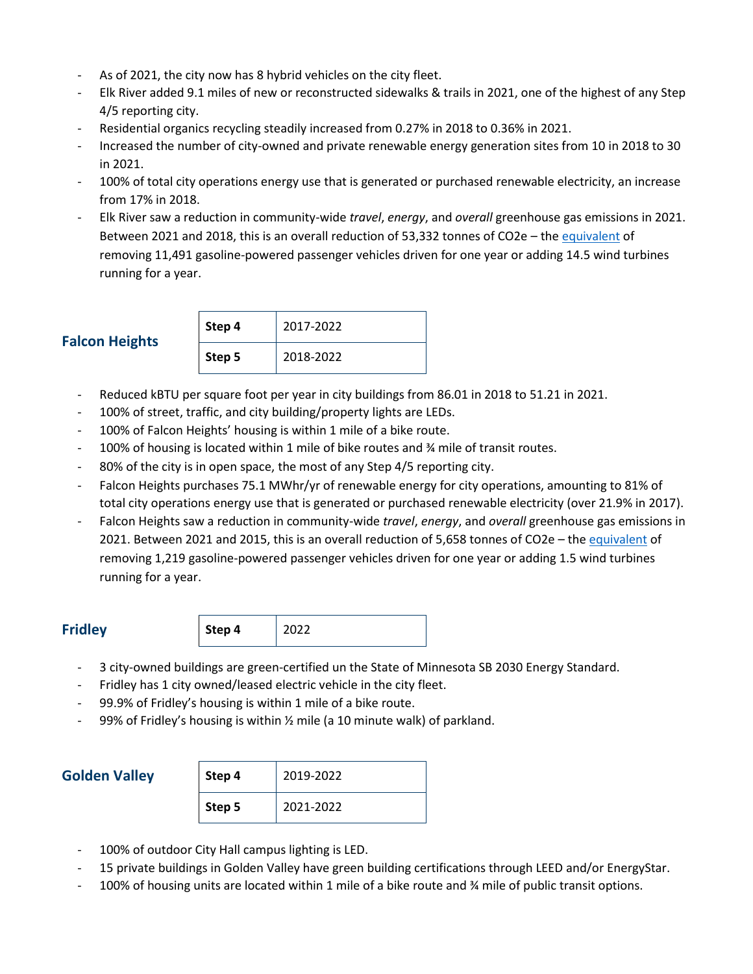- As of 2021, the city now has 8 hybrid vehicles on the city fleet.
- Elk River added 9.1 miles of new or reconstructed sidewalks & trails in 2021, one of the highest of any Step 4/5 reporting city.
- Residential organics recycling steadily increased from 0.27% in 2018 to 0.36% in 2021.
- Increased the number of city-owned and private renewable energy generation sites from 10 in 2018 to 30 in 2021.
- 100% of total city operations energy use that is generated or purchased renewable electricity, an increase from 17% in 2018.
- Elk River saw a reduction in community-wide *travel*, *energy*, and *overall* greenhouse gas emissions in 2021. Between 2021 and 2018, this is an overall reduction of 53,332 tonnes of CO2e - the [equivalent](https://www.epa.gov/energy/greenhouse-gas-equivalencies-calculator) of removing 11,491 gasoline-powered passenger vehicles driven for one year or adding 14.5 wind turbines running for a year.

# **Falcon Heights**

| Step 4 | 2017-2022 |
|--------|-----------|
| Step 5 | 2018-2022 |

- Reduced kBTU per square foot per year in city buildings from 86.01 in 2018 to 51.21 in 2021.
- 100% of street, traffic, and city building/property lights are LEDs.
- 100% of Falcon Heights' housing is within 1 mile of a bike route.
- 100% of housing is located within 1 mile of bike routes and ¾ mile of transit routes.
- 80% of the city is in open space, the most of any Step 4/5 reporting city.
- Falcon Heights purchases 75.1 MWhr/yr of renewable energy for city operations, amounting to 81% of total city operations energy use that is generated or purchased renewable electricity (over 21.9% in 2017).
- Falcon Heights saw a reduction in community-wide *travel*, *energy*, and *overall* greenhouse gas emissions in 2021. Between 2021 and 2015, this is an overall reduction of 5,658 tonnes of CO2e - the [equivalent](https://www.epa.gov/energy/greenhouse-gas-equivalencies-calculator) of removing 1,219 gasoline-powered passenger vehicles driven for one year or adding 1.5 wind turbines running for a year.

**Fridley Step 4** 2022

- 3 city-owned buildings are green-certified un the State of Minnesota SB 2030 Energy Standard.
- Fridley has 1 city owned/leased electric vehicle in the city fleet.
- 99.9% of Fridley's housing is within 1 mile of a bike route.
- 99% of Fridley's housing is within  $\frac{1}{2}$  mile (a 10 minute walk) of parkland.

### **Golden Valley**

| Step 4 | 2019-2022 |  |
|--------|-----------|--|
| Step 5 | 2021-2022 |  |

- 100% of outdoor City Hall campus lighting is LED.
- 15 private buildings in Golden Valley have green building certifications through LEED and/or EnergyStar.
- 100% of housing units are located within 1 mile of a bike route and % mile of public transit options.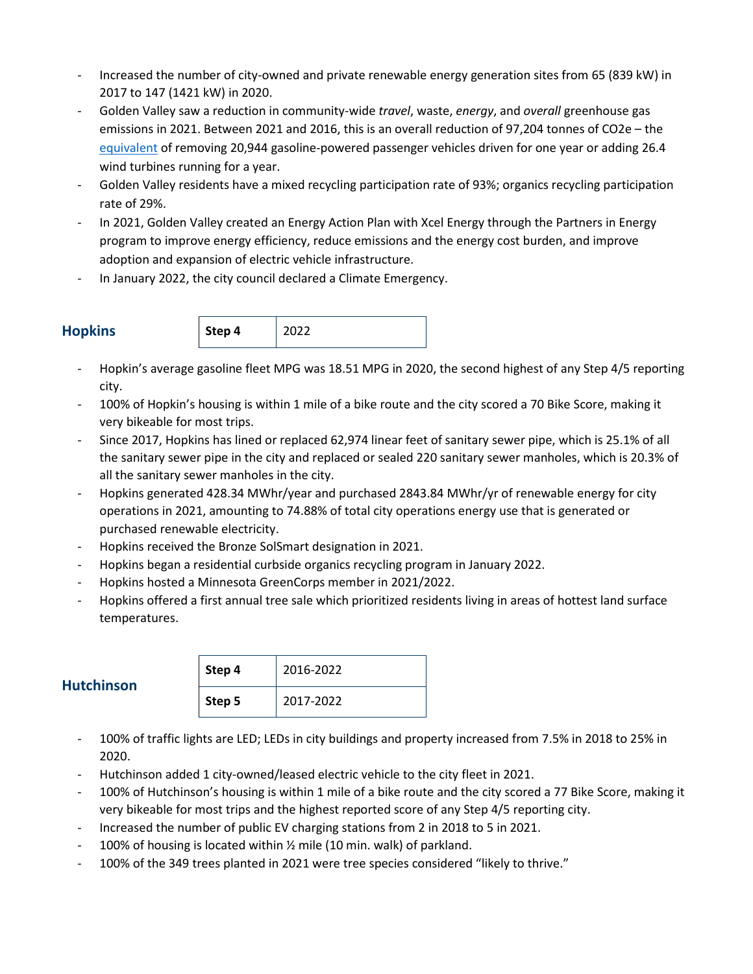- Increased the number of city-owned and private renewable energy generation sites from 65 (839 kW) in 2017 to 147 (1421 kW) in 2020.
- Golden Valley saw a reduction in community-wide *travel*, waste, *energy*, and *overall* greenhouse gas emissions in 2021. Between 2021 and 2016, this is an overall reduction of 97,204 tonnes of CO2e – the [equivalent](https://www.epa.gov/energy/greenhouse-gas-equivalencies-calculator) of removing 20,944 gasoline-powered passenger vehicles driven for one year or adding 26.4 wind turbines running for a year.
- Golden Valley residents have a mixed recycling participation rate of 93%; organics recycling participation rate of 29%.
- In 2021, Golden Valley created an Energy Action Plan with Xcel Energy through the Partners in Energy program to improve energy efficiency, reduce emissions and the energy cost burden, and improve adoption and expansion of electric vehicle infrastructure.
- In January 2022, the city council declared a Climate Emergency.



- Hopkin's average gasoline fleet MPG was 18.51 MPG in 2020, the second highest of any Step 4/5 reporting city.
- 100% of Hopkin's housing is within 1 mile of a bike route and the city scored a 70 Bike Score, making it very bikeable for most trips.
- Since 2017, Hopkins has lined or replaced 62,974 linear feet of sanitary sewer pipe, which is 25.1% of all the sanitary sewer pipe in the city and replaced or sealed 220 sanitary sewer manholes, which is 20.3% of all the sanitary sewer manholes in the city.
- Hopkins generated 428.34 MWhr/year and purchased 2843.84 MWhr/yr of renewable energy for city operations in 2021, amounting to 74.88% of total city operations energy use that is generated or purchased renewable electricity.
- Hopkins received the Bronze SolSmart designation in 2021.
- Hopkins began a residential curbside organics recycling program in January 2022.
- Hopkins hosted a Minnesota GreenCorps member in 2021/2022.
- Hopkins offered a first annual tree sale which prioritized residents living in areas of hottest land surface temperatures.

| <b>Hutchinson</b> | Step 4 | 2016-2022 |
|-------------------|--------|-----------|
|                   | Step 5 | 2017-2022 |

- 100% of traffic lights are LED; LEDs in city buildings and property increased from 7.5% in 2018 to 25% in 2020.
- Hutchinson added 1 city-owned/leased electric vehicle to the city fleet in 2021.
- 100% of Hutchinson's housing is within 1 mile of a bike route and the city scored a 77 Bike Score, making it very bikeable for most trips and the highest reported score of any Step 4/5 reporting city.
- Increased the number of public EV charging stations from 2 in 2018 to 5 in 2021.
- 100% of housing is located within 1/2 mile (10 min. walk) of parkland.
- 100% of the 349 trees planted in 2021 were tree species considered "likely to thrive."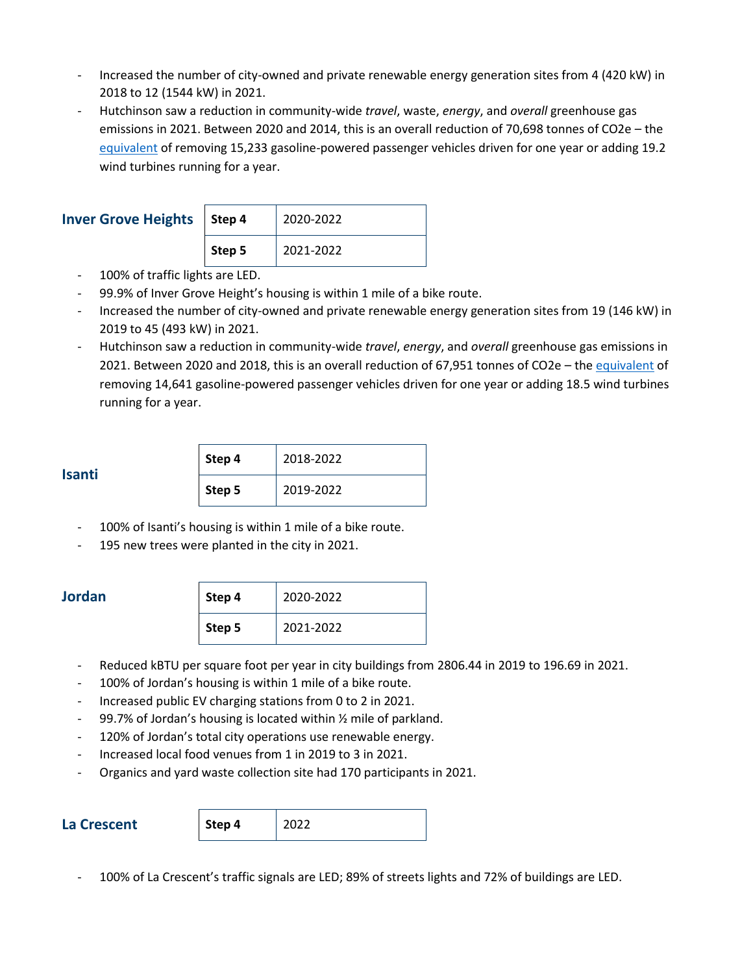- Increased the number of city-owned and private renewable energy generation sites from 4 (420 kW) in 2018 to 12 (1544 kW) in 2021.
- Hutchinson saw a reduction in community-wide *travel*, waste, *energy*, and *overall* greenhouse gas emissions in 2021. Between 2020 and 2014, this is an overall reduction of 70,698 tonnes of CO2e – the [equivalent](https://www.epa.gov/energy/greenhouse-gas-equivalencies-calculator) of removing 15,233 gasoline-powered passenger vehicles driven for one year or adding 19.2 wind turbines running for a year.

| <b>Inver Grove Heights   Step 4</b> |        | 2020-2022 |
|-------------------------------------|--------|-----------|
|                                     | Step 5 | 2021-2022 |

- 100% of traffic lights are LED.
- 99.9% of Inver Grove Height's housing is within 1 mile of a bike route.
- Increased the number of city-owned and private renewable energy generation sites from 19 (146 kW) in 2019 to 45 (493 kW) in 2021.
- Hutchinson saw a reduction in community-wide *travel*, *energy*, and *overall* greenhouse gas emissions in 2021. Between 2020 and 2018, this is an overall reduction of 67,951 tonnes of CO2e - th[e equivalent](https://www.epa.gov/energy/greenhouse-gas-equivalencies-calculator) of removing 14,641 gasoline-powered passenger vehicles driven for one year or adding 18.5 wind turbines running for a year.

| . .<br>×<br>×<br>٠<br>I |
|-------------------------|
|-------------------------|

| Step 4 | 2018-2022 |  |
|--------|-----------|--|
| Step 5 | 2019-2022 |  |

- 100% of Isanti's housing is within 1 mile of a bike route.
- 195 new trees were planted in the city in 2021.

#### **Jordan**

| Step 4 | 2020-2022 |
|--------|-----------|
| Step 5 | 2021-2022 |

- Reduced kBTU per square foot per year in city buildings from 2806.44 in 2019 to 196.69 in 2021.
- 100% of Jordan's housing is within 1 mile of a bike route.
- Increased public EV charging stations from 0 to 2 in 2021.
- 99.7% of Jordan's housing is located within  $\frac{1}{2}$  mile of parkland.
- 120% of Jordan's total city operations use renewable energy.
- Increased local food venues from 1 in 2019 to 3 in 2021.
- Organics and yard waste collection site had 170 participants in 2021.

**La Crescent Step 4** 2022

- 100% of La Crescent's traffic signals are LED; 89% of streets lights and 72% of buildings are LED.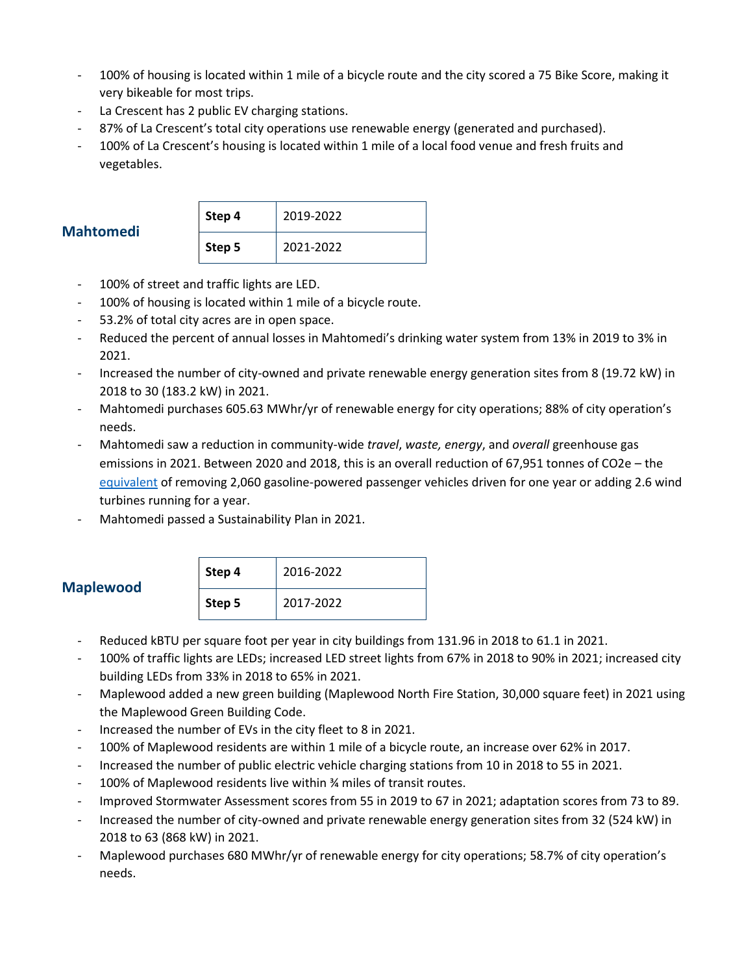- 100% of housing is located within 1 mile of a bicycle route and the city scored a 75 Bike Score, making it very bikeable for most trips.
- La Crescent has 2 public EV charging stations.
- 87% of La Crescent's total city operations use renewable energy (generated and purchased).
- 100% of La Crescent's housing is located within 1 mile of a local food venue and fresh fruits and vegetables.

| <b>Mahtomedi</b> |  |
|------------------|--|

| Step 4 | 2019-2022 |
|--------|-----------|
| Step 5 | 2021-2022 |

- 100% of street and traffic lights are LED.
- 100% of housing is located within 1 mile of a bicycle route.
- 53.2% of total city acres are in open space.
- Reduced the percent of annual losses in Mahtomedi's drinking water system from 13% in 2019 to 3% in 2021.
- Increased the number of city-owned and private renewable energy generation sites from 8 (19.72 kW) in 2018 to 30 (183.2 kW) in 2021.
- Mahtomedi purchases 605.63 MWhr/yr of renewable energy for city operations; 88% of city operation's needs.
- Mahtomedi saw a reduction in community-wide *travel*, *waste, energy*, and *overall* greenhouse gas emissions in 2021. Between 2020 and 2018, this is an overall reduction of 67,951 tonnes of CO2e – the [equivalent](https://www.epa.gov/energy/greenhouse-gas-equivalencies-calculator) of removing 2,060 gasoline-powered passenger vehicles driven for one year or adding 2.6 wind turbines running for a year.
- Mahtomedi passed a Sustainability Plan in 2021.

| <b>Maplewood</b> | Step 4 | 2016-2022 |
|------------------|--------|-----------|
|                  | Step 5 | 2017-2022 |

- Reduced kBTU per square foot per year in city buildings from 131.96 in 2018 to 61.1 in 2021.
- 100% of traffic lights are LEDs; increased LED street lights from 67% in 2018 to 90% in 2021; increased city building LEDs from 33% in 2018 to 65% in 2021.
- Maplewood added a new green building (Maplewood North Fire Station, 30,000 square feet) in 2021 using the Maplewood Green Building Code.
- Increased the number of EVs in the city fleet to 8 in 2021.
- 100% of Maplewood residents are within 1 mile of a bicycle route, an increase over 62% in 2017.
- Increased the number of public electric vehicle charging stations from 10 in 2018 to 55 in 2021.
- 100% of Maplewood residents live within % miles of transit routes.
- Improved Stormwater Assessment scores from 55 in 2019 to 67 in 2021; adaptation scores from 73 to 89.
- Increased the number of city-owned and private renewable energy generation sites from 32 (524 kW) in 2018 to 63 (868 kW) in 2021.
- Maplewood purchases 680 MWhr/yr of renewable energy for city operations; 58.7% of city operation's needs.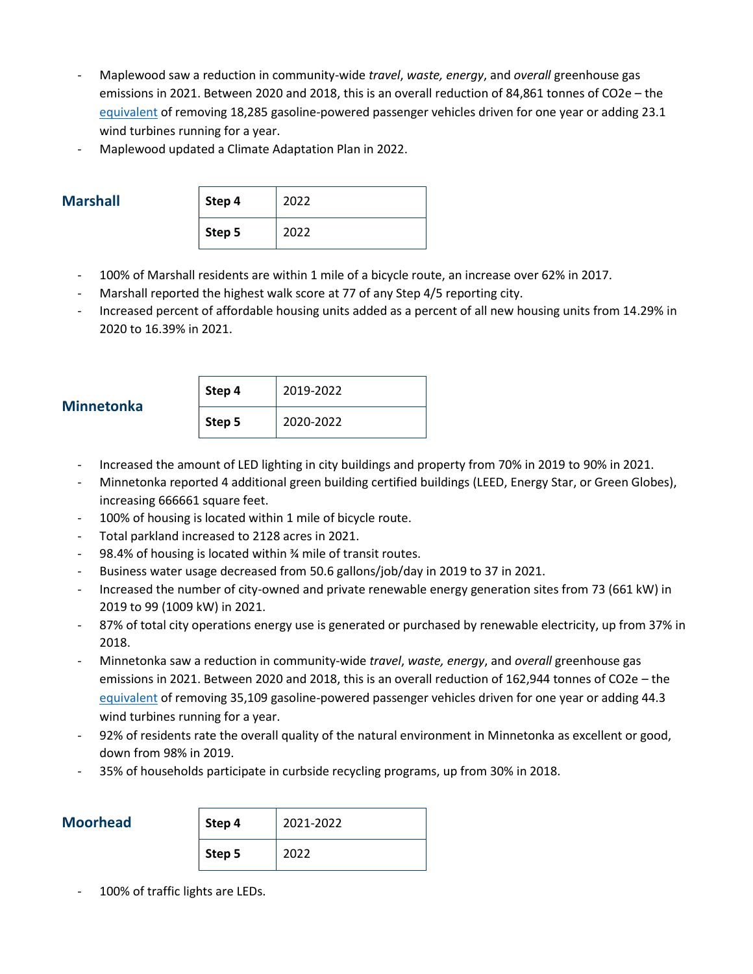- Maplewood saw a reduction in community-wide *travel*, *waste, energy*, and *overall* greenhouse gas emissions in 2021. Between 2020 and 2018, this is an overall reduction of 84,861 tonnes of CO2e – the [equivalent](https://www.epa.gov/energy/greenhouse-gas-equivalencies-calculator) of removing 18,285 gasoline-powered passenger vehicles driven for one year or adding 23.1 wind turbines running for a year.
- Maplewood updated a Climate Adaptation Plan in 2022.

#### **Marshall**

| Step 4 | 2022 |
|--------|------|
| Step 5 | 2022 |

- 100% of Marshall residents are within 1 mile of a bicycle route, an increase over 62% in 2017.
- Marshall reported the highest walk score at 77 of any Step 4/5 reporting city.
- Increased percent of affordable housing units added as a percent of all new housing units from 14.29% in 2020 to 16.39% in 2021.

#### **Minnetonka**

| Step 4 | 2019-2022 |
|--------|-----------|
| Step 5 | 2020-2022 |

- Increased the amount of LED lighting in city buildings and property from 70% in 2019 to 90% in 2021.
- Minnetonka reported 4 additional green building certified buildings (LEED, Energy Star, or Green Globes), increasing 666661 square feet.
- 100% of housing is located within 1 mile of bicycle route.
- Total parkland increased to 2128 acres in 2021.
- 98.4% of housing is located within ¾ mile of transit routes.
- Business water usage decreased from 50.6 gallons/job/day in 2019 to 37 in 2021.
- Increased the number of city-owned and private renewable energy generation sites from 73 (661 kW) in 2019 to 99 (1009 kW) in 2021.
- 87% of total city operations energy use is generated or purchased by renewable electricity, up from 37% in 2018.
- Minnetonka saw a reduction in community-wide *travel*, *waste, energy*, and *overall* greenhouse gas emissions in 2021. Between 2020 and 2018, this is an overall reduction of 162,944 tonnes of CO2e – the [equivalent](https://www.epa.gov/energy/greenhouse-gas-equivalencies-calculator) of removing 35,109 gasoline-powered passenger vehicles driven for one year or adding 44.3 wind turbines running for a year.
- 92% of residents rate the overall quality of the natural environment in Minnetonka as excellent or good, down from 98% in 2019.
- 35% of households participate in curbside recycling programs, up from 30% in 2018.

#### **Moorhead**

| Step 4 | 2021-2022 |
|--------|-----------|
| Step 5 | 2022      |

100% of traffic lights are LEDs.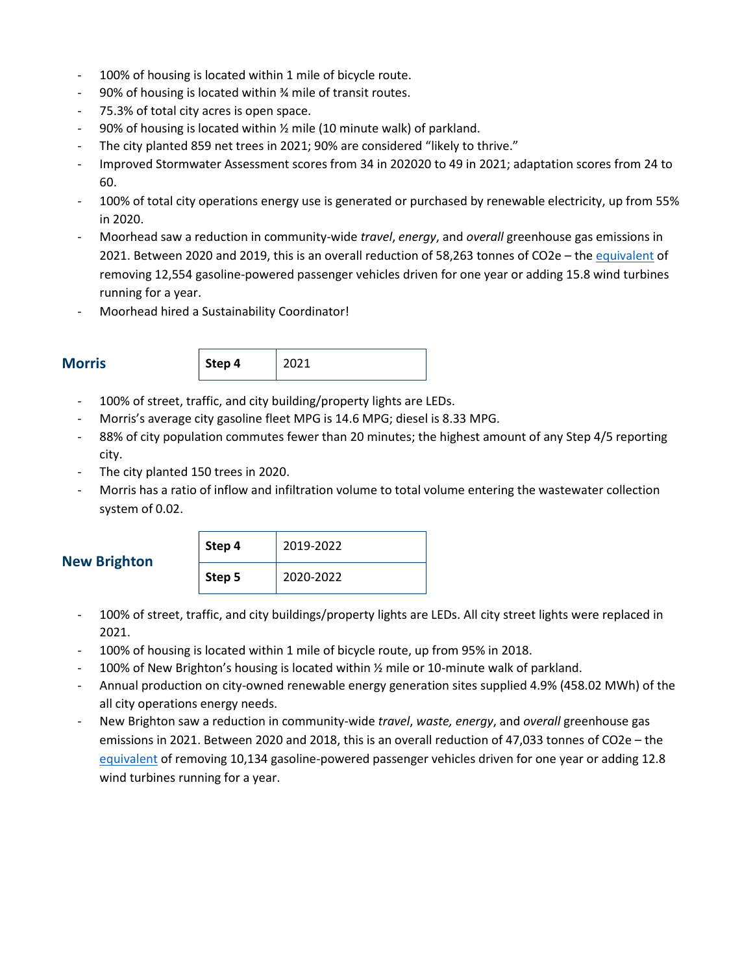- 100% of housing is located within 1 mile of bicycle route.
- 90% of housing is located within ¾ mile of transit routes.
- 75.3% of total city acres is open space.
- 90% of housing is located within 1/2 mile (10 minute walk) of parkland.
- The city planted 859 net trees in 2021; 90% are considered "likely to thrive."
- Improved Stormwater Assessment scores from 34 in 202020 to 49 in 2021; adaptation scores from 24 to 60.
- 100% of total city operations energy use is generated or purchased by renewable electricity, up from 55% in 2020.
- Moorhead saw a reduction in community-wide *travel*, *energy*, and *overall* greenhouse gas emissions in 2021. Between 2020 and 2019, this is an overall reduction of 58,263 tonnes of CO2e - th[e equivalent](https://www.epa.gov/energy/greenhouse-gas-equivalencies-calculator) of removing 12,554 gasoline-powered passenger vehicles driven for one year or adding 15.8 wind turbines running for a year.
- Moorhead hired a Sustainability Coordinator!



- 100% of street, traffic, and city building/property lights are LEDs.
- Morris's average city gasoline fleet MPG is 14.6 MPG; diesel is 8.33 MPG.
- 88% of city population commutes fewer than 20 minutes; the highest amount of any Step 4/5 reporting city.
- The city planted 150 trees in 2020.
- Morris has a ratio of inflow and infiltration volume to total volume entering the wastewater collection system of 0.02.

### **New Brighton**

| Step 4 | 2019-2022 |
|--------|-----------|
| Step 5 | 2020-2022 |

- 100% of street, traffic, and city buildings/property lights are LEDs. All city street lights were replaced in 2021.
- 100% of housing is located within 1 mile of bicycle route, up from 95% in 2018.
- 100% of New Brighton's housing is located within  $\frac{1}{2}$  mile or 10-minute walk of parkland.
- Annual production on city-owned renewable energy generation sites supplied 4.9% (458.02 MWh) of the all city operations energy needs.
- New Brighton saw a reduction in community-wide *travel*, *waste, energy*, and *overall* greenhouse gas emissions in 2021. Between 2020 and 2018, this is an overall reduction of 47,033 tonnes of CO2e – the [equivalent](https://www.epa.gov/energy/greenhouse-gas-equivalencies-calculator) of removing 10,134 gasoline-powered passenger vehicles driven for one year or adding 12.8 wind turbines running for a year.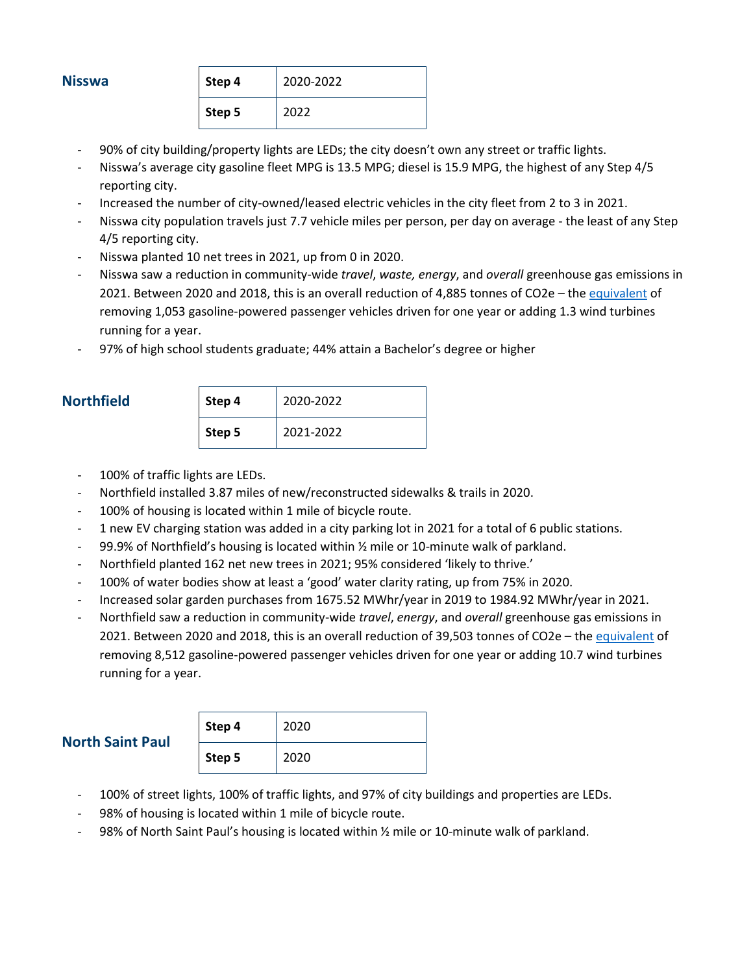#### **Nisswa**

| Step 4 | 2020-2022 |
|--------|-----------|
| Step 5 | 2022      |

- 90% of city building/property lights are LEDs; the city doesn't own any street or traffic lights.
- Nisswa's average city gasoline fleet MPG is 13.5 MPG; diesel is 15.9 MPG, the highest of any Step 4/5 reporting city.
- Increased the number of city-owned/leased electric vehicles in the city fleet from 2 to 3 in 2021.
- Nisswa city population travels just 7.7 vehicle miles per person, per day on average the least of any Step 4/5 reporting city.
- Nisswa planted 10 net trees in 2021, up from 0 in 2020.
- Nisswa saw a reduction in community-wide *travel*, *waste, energy*, and *overall* greenhouse gas emissions in 2021. Between 2020 and 2018, this is an overall reduction of 4,885 tonnes of CO2e – the [equivalent](https://www.epa.gov/energy/greenhouse-gas-equivalencies-calculator) of removing 1,053 gasoline-powered passenger vehicles driven for one year or adding 1.3 wind turbines running for a year.
- 97% of high school students graduate; 44% attain a Bachelor's degree or higher

#### $Northfield$

| Step 4 | 2020-2022 |
|--------|-----------|
| Step 5 | 2021-2022 |

- 100% of traffic lights are LEDs.
- Northfield installed 3.87 miles of new/reconstructed sidewalks & trails in 2020.
- 100% of housing is located within 1 mile of bicycle route.
- 1 new EV charging station was added in a city parking lot in 2021 for a total of 6 public stations.
- 99.9% of Northfield's housing is located within ½ mile or 10-minute walk of parkland.
- Northfield planted 162 net new trees in 2021; 95% considered 'likely to thrive.'
- 100% of water bodies show at least a 'good' water clarity rating, up from 75% in 2020.
- Increased solar garden purchases from 1675.52 MWhr/year in 2019 to 1984.92 MWhr/year in 2021.
- Northfield saw a reduction in community-wide *travel*, *energy*, and *overall* greenhouse gas emissions in 2021. Between 2020 and 2018, this is an overall reduction of 39,503 tonnes of CO2e – th[e equivalent](https://www.epa.gov/energy/greenhouse-gas-equivalencies-calculator) of removing 8,512 gasoline-powered passenger vehicles driven for one year or adding 10.7 wind turbines running for a year.

| <b>North Saint Paul</b> | Step 4 | 2020 |
|-------------------------|--------|------|
|                         | Step 5 | 2020 |

- 100% of street lights, 100% of traffic lights, and 97% of city buildings and properties are LEDs.
- 98% of housing is located within 1 mile of bicycle route.
- 98% of North Saint Paul's housing is located within 1/2 mile or 10-minute walk of parkland.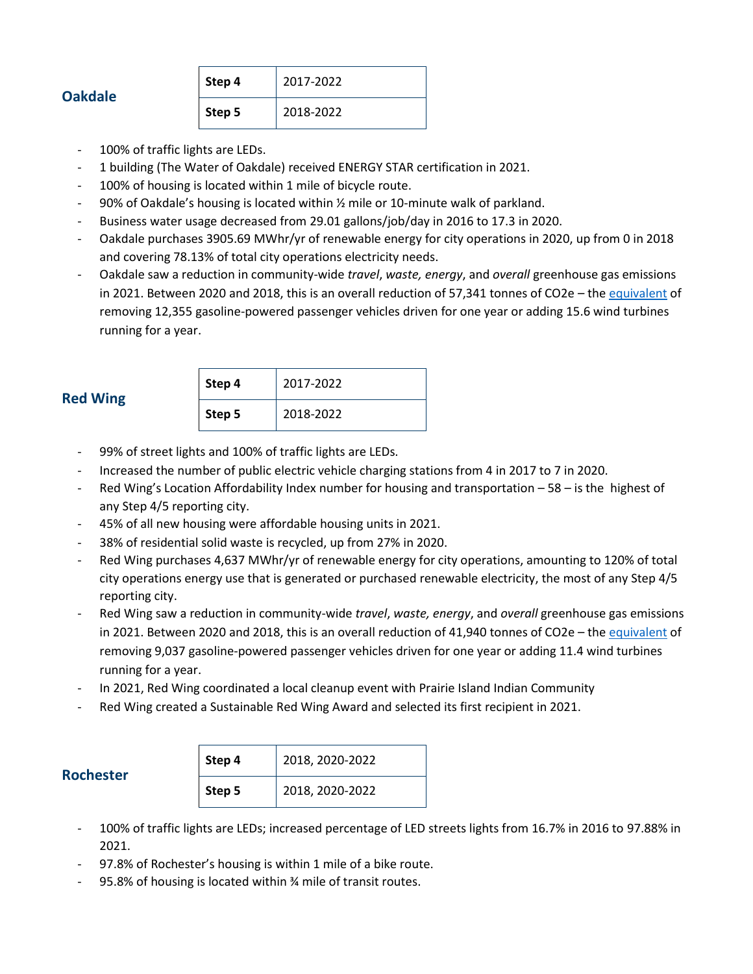| <b>Oakdale</b> |  |  |
|----------------|--|--|

| Step 4 | 2017-2022 |
|--------|-----------|
| Step 5 | 2018-2022 |

- 100% of traffic lights are LEDs.
- 1 building (The Water of Oakdale) received ENERGY STAR certification in 2021.
- 100% of housing is located within 1 mile of bicycle route.
- 90% of Oakdale's housing is located within ½ mile or 10-minute walk of parkland.
- Business water usage decreased from 29.01 gallons/job/day in 2016 to 17.3 in 2020.
- Oakdale purchases 3905.69 MWhr/yr of renewable energy for city operations in 2020, up from 0 in 2018 and covering 78.13% of total city operations electricity needs.
- Oakdale saw a reduction in community-wide *travel*, *waste, energy*, and *overall* greenhouse gas emissions in 2021. Between 2020 and 2018, this is an overall reduction of 57,341 tonnes of CO2e – the [equivalent](https://www.epa.gov/energy/greenhouse-gas-equivalencies-calculator) of removing 12,355 gasoline-powered passenger vehicles driven for one year or adding 15.6 wind turbines running for a year.

| Step 4 | 2017-2022 |
|--------|-----------|
| Step 5 | 2018-2022 |

- 99% of street lights and 100% of traffic lights are LEDs.
- Increased the number of public electric vehicle charging stations from 4 in 2017 to 7 in 2020.
- Red Wing's Location Affordability Index number for housing and transportation 58 is the highest of any Step 4/5 reporting city.
- 45% of all new housing were affordable housing units in 2021.
- 38% of residential solid waste is recycled, up from 27% in 2020.
- Red Wing purchases 4,637 MWhr/yr of renewable energy for city operations, amounting to 120% of total city operations energy use that is generated or purchased renewable electricity, the most of any Step 4/5 reporting city.
- Red Wing saw a reduction in community-wide *travel*, *waste, energy*, and *overall* greenhouse gas emissions in 2021. Between 2020 and 2018, this is an overall reduction of 41,940 tonnes of CO2e – the [equivalent](https://www.epa.gov/energy/greenhouse-gas-equivalencies-calculator) of removing 9,037 gasoline-powered passenger vehicles driven for one year or adding 11.4 wind turbines running for a year.
- In 2021, Red Wing coordinated a local cleanup event with Prairie Island Indian Community
- Red Wing created a Sustainable Red Wing Award and selected its first recipient in 2021.

### **Rochester**

| Step 4 | 2018, 2020-2022 |
|--------|-----------------|
| Step 5 | 2018, 2020-2022 |

- 100% of traffic lights are LEDs; increased percentage of LED streets lights from 16.7% in 2016 to 97.88% in 2021.
- 97.8% of Rochester's housing is within 1 mile of a bike route.
- 95.8% of housing is located within % mile of transit routes.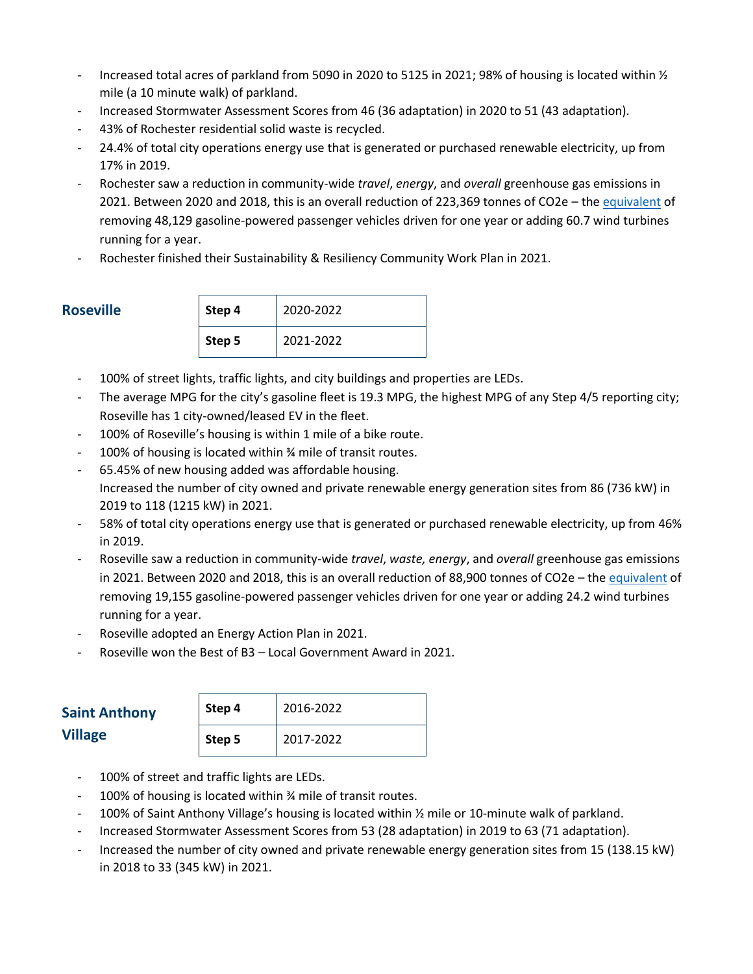- Increased total acres of parkland from 5090 in 2020 to 5125 in 2021; 98% of housing is located within  $\frac{1}{2}$ mile (a 10 minute walk) of parkland.
- Increased Stormwater Assessment Scores from 46 (36 adaptation) in 2020 to 51 (43 adaptation).
- 43% of Rochester residential solid waste is recycled.
- 24.4% of total city operations energy use that is generated or purchased renewable electricity, up from 17% in 2019.
- Rochester saw a reduction in community-wide *travel*, *energy*, and *overall* greenhouse gas emissions in 2021. Between 2020 and 2018, this is an overall reduction of 223,369 tonnes of CO2e – the [equivalent](https://www.epa.gov/energy/greenhouse-gas-equivalencies-calculator) of removing 48,129 gasoline-powered passenger vehicles driven for one year or adding 60.7 wind turbines running for a year.
- Rochester finished their Sustainability & Resiliency Community Work Plan in 2021.

#### **Roseville**

| Step 4 | 2020-2022 |
|--------|-----------|
| Step 5 | 2021-2022 |

- 100% of street lights, traffic lights, and city buildings and properties are LEDs.
- The average MPG for the city's gasoline fleet is 19.3 MPG, the highest MPG of any Step 4/5 reporting city; Roseville has 1 city-owned/leased EV in the fleet.
- 100% of Roseville's housing is within 1 mile of a bike route.
- 100% of housing is located within % mile of transit routes.
- 65.45% of new housing added was affordable housing.

Increased the number of city owned and private renewable energy generation sites from 86 (736 kW) in 2019 to 118 (1215 kW) in 2021.

- 58% of total city operations energy use that is generated or purchased renewable electricity, up from 46% in 2019.
- Roseville saw a reduction in community-wide *travel*, *waste, energy*, and *overall* greenhouse gas emissions in 2021. Between 2020 and 2018, this is an overall reduction of 88,900 tonnes of CO2e – the [equivalent](https://www.epa.gov/energy/greenhouse-gas-equivalencies-calculator) of removing 19,155 gasoline-powered passenger vehicles driven for one year or adding 24.2 wind turbines running for a year.
- Roseville adopted an Energy Action Plan in 2021.
- Roseville won the Best of B3 Local Government Award in 2021.

| <b>Saint Anthony</b> | Step 4 | 2016-2022 |
|----------------------|--------|-----------|
| <b>Village</b>       | Step 5 | 2017-2022 |

- 100% of street and traffic lights are LEDs.
- 100% of housing is located within % mile of transit routes.
- 100% of Saint Anthony Village's housing is located within ½ mile or 10-minute walk of parkland.
- Increased Stormwater Assessment Scores from 53 (28 adaptation) in 2019 to 63 (71 adaptation).
- Increased the number of city owned and private renewable energy generation sites from 15 (138.15 kW) in 2018 to 33 (345 kW) in 2021.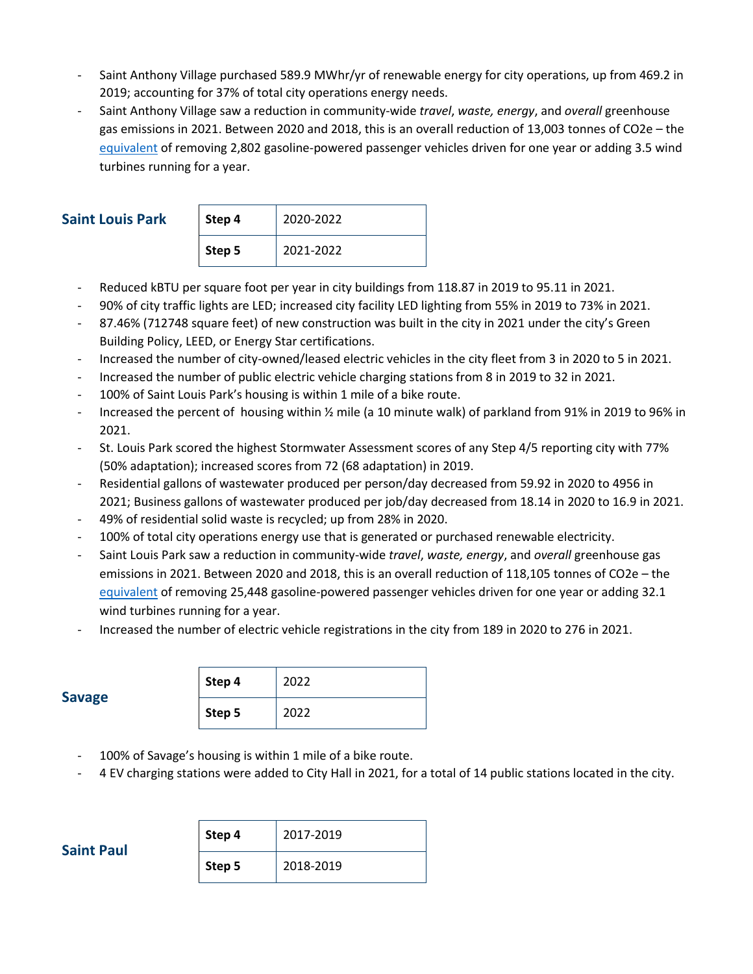- Saint Anthony Village purchased 589.9 MWhr/yr of renewable energy for city operations, up from 469.2 in 2019; accounting for 37% of total city operations energy needs.
- Saint Anthony Village saw a reduction in community-wide *travel*, *waste, energy*, and *overall* greenhouse gas emissions in 2021. Between 2020 and 2018, this is an overall reduction of 13,003 tonnes of CO2e – the [equivalent](https://www.epa.gov/energy/greenhouse-gas-equivalencies-calculator) of removing 2,802 gasoline-powered passenger vehicles driven for one year or adding 3.5 wind turbines running for a year.

#### **Saint Louis Park**

| Step 4 | 2020-2022 |  |
|--------|-----------|--|
| Step 5 | 2021-2022 |  |

- Reduced kBTU per square foot per year in city buildings from 118.87 in 2019 to 95.11 in 2021.
- 90% of city traffic lights are LED; increased city facility LED lighting from 55% in 2019 to 73% in 2021.
- 87.46% (712748 square feet) of new construction was built in the city in 2021 under the city's Green Building Policy, LEED, or Energy Star certifications.
- Increased the number of city-owned/leased electric vehicles in the city fleet from 3 in 2020 to 5 in 2021.
- Increased the number of public electric vehicle charging stations from 8 in 2019 to 32 in 2021.
- 100% of Saint Louis Park's housing is within 1 mile of a bike route.
- Increased the percent of housing within ½ mile (a 10 minute walk) of parkland from 91% in 2019 to 96% in 2021.
- St. Louis Park scored the highest Stormwater Assessment scores of any Step 4/5 reporting city with 77% (50% adaptation); increased scores from 72 (68 adaptation) in 2019.
- Residential gallons of wastewater produced per person/day decreased from 59.92 in 2020 to 4956 in 2021; Business gallons of wastewater produced per job/day decreased from 18.14 in 2020 to 16.9 in 2021.
- 49% of residential solid waste is recycled; up from 28% in 2020.
- 100% of total city operations energy use that is generated or purchased renewable electricity.
- Saint Louis Park saw a reduction in community-wide *travel*, *waste, energy*, and *overall* greenhouse gas emissions in 2021. Between 2020 and 2018, this is an overall reduction of 118,105 tonnes of CO2e – the [equivalent](https://www.epa.gov/energy/greenhouse-gas-equivalencies-calculator) of removing 25,448 gasoline-powered passenger vehicles driven for one year or adding 32.1 wind turbines running for a year.
- Increased the number of electric vehicle registrations in the city from 189 in 2020 to 276 in 2021.

| <b>Savage</b> | Step 4 | 2022 |
|---------------|--------|------|
|               | Step 5 | 2022 |

- 100% of Savage's housing is within 1 mile of a bike route.
- 4 EV charging stations were added to City Hall in 2021, for a total of 14 public stations located in the city.

| Step 4 | 2017-2019 |
|--------|-----------|
| Step 5 | 2018-2019 |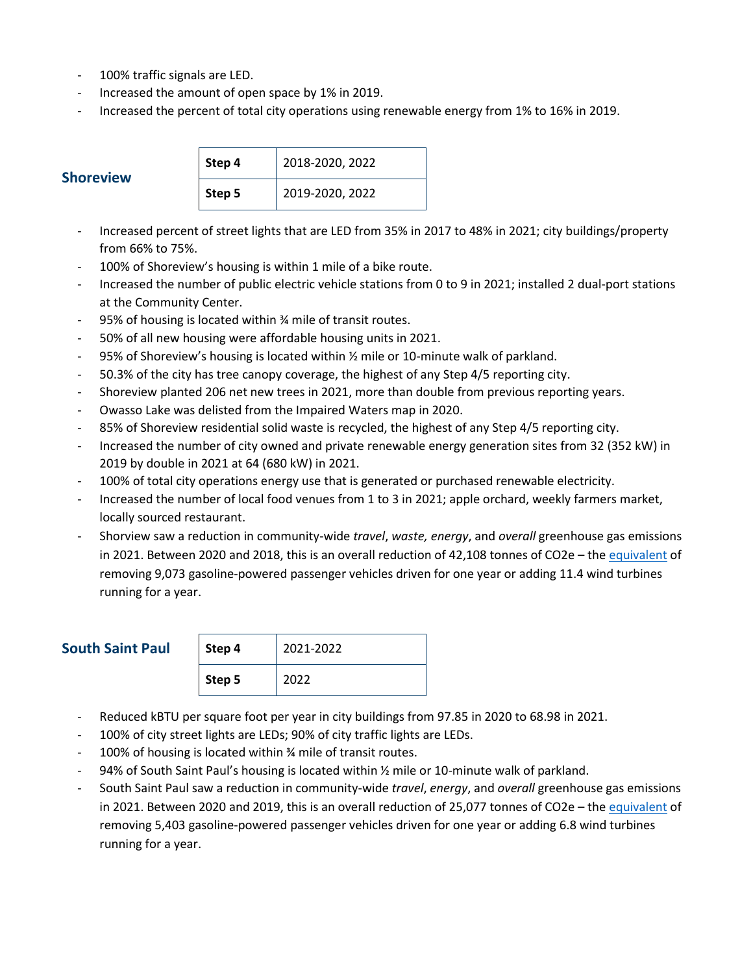- 100% traffic signals are LED.
- Increased the amount of open space by 1% in 2019.
- Increased the percent of total city operations using renewable energy from 1% to 16% in 2019.

| <b>Shoreview</b> | Step 4 | 2018-2020, 2022 |
|------------------|--------|-----------------|
|                  | Step 5 | 2019-2020, 2022 |

- Increased percent of street lights that are LED from 35% in 2017 to 48% in 2021; city buildings/property from 66% to 75%.
- 100% of Shoreview's housing is within 1 mile of a bike route.
- Increased the number of public electric vehicle stations from 0 to 9 in 2021; installed 2 dual-port stations at the Community Center.
- 95% of housing is located within ¾ mile of transit routes.
- 50% of all new housing were affordable housing units in 2021.
- 95% of Shoreview's housing is located within  $\frac{1}{2}$  mile or 10-minute walk of parkland.
- 50.3% of the city has tree canopy coverage, the highest of any Step 4/5 reporting city.
- Shoreview planted 206 net new trees in 2021, more than double from previous reporting years.
- Owasso Lake was delisted from the Impaired Waters map in 2020.
- 85% of Shoreview residential solid waste is recycled, the highest of any Step 4/5 reporting city.
- Increased the number of city owned and private renewable energy generation sites from 32 (352 kW) in 2019 by double in 2021 at 64 (680 kW) in 2021.
- 100% of total city operations energy use that is generated or purchased renewable electricity.
- Increased the number of local food venues from 1 to 3 in 2021; apple orchard, weekly farmers market, locally sourced restaurant.
- Shorview saw a reduction in community-wide *travel*, *waste, energy*, and *overall* greenhouse gas emissions in 2021. Between 2020 and 2018, this is an overall reduction of 42,108 tonnes of CO2e – the [equivalent](https://www.epa.gov/energy/greenhouse-gas-equivalencies-calculator) of removing 9,073 gasoline-powered passenger vehicles driven for one year or adding 11.4 wind turbines running for a year.

### **South Saint Paul**

| Step 4 | 2021-2022 |
|--------|-----------|
| Step 5 | 2022      |

- Reduced kBTU per square foot per year in city buildings from 97.85 in 2020 to 68.98 in 2021.
- 100% of city street lights are LEDs; 90% of city traffic lights are LEDs.
- 100% of housing is located within % mile of transit routes.
- 94% of South Saint Paul's housing is located within 1/2 mile or 10-minute walk of parkland.
- South Saint Paul saw a reduction in community-wide *travel*, *energy*, and *overall* greenhouse gas emissions in 2021. Between 2020 and 2019, this is an overall reduction of 25,077 tonnes of CO2e – the [equivalent](https://www.epa.gov/energy/greenhouse-gas-equivalencies-calculator) of removing 5,403 gasoline-powered passenger vehicles driven for one year or adding 6.8 wind turbines running for a year.